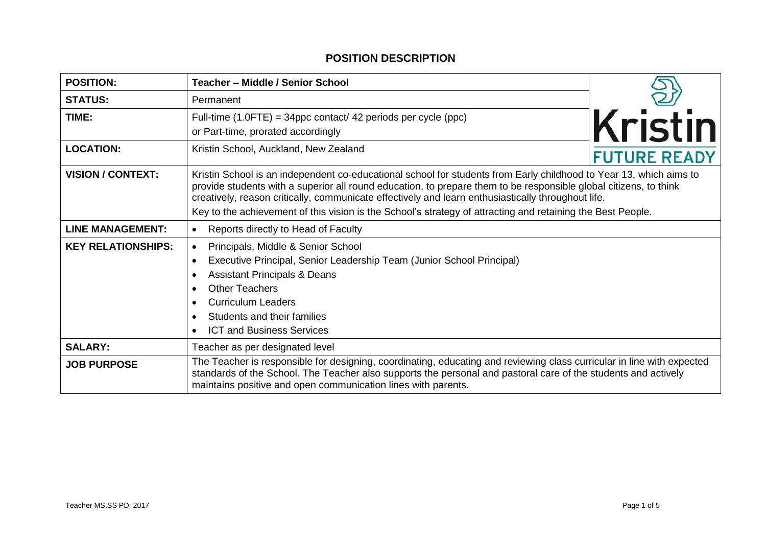## **POSITION DESCRIPTION**

| <b>POSITION:</b>          | Teacher - Middle / Senior School                                                                                                                                                                                                                                                                                                              |                     |  |
|---------------------------|-----------------------------------------------------------------------------------------------------------------------------------------------------------------------------------------------------------------------------------------------------------------------------------------------------------------------------------------------|---------------------|--|
| <b>STATUS:</b>            | Permanent                                                                                                                                                                                                                                                                                                                                     |                     |  |
| TIME:                     | Full-time $(1.0$ FTE) = 34ppc contact/ 42 periods per cycle (ppc)<br>or Part-time, prorated accordingly                                                                                                                                                                                                                                       | Kristin             |  |
| <b>LOCATION:</b>          | Kristin School, Auckland, New Zealand                                                                                                                                                                                                                                                                                                         | <b>FUTURE READY</b> |  |
| <b>VISION / CONTEXT:</b>  | Kristin School is an independent co-educational school for students from Early childhood to Year 13, which aims to<br>provide students with a superior all round education, to prepare them to be responsible global citizens, to think<br>creatively, reason critically, communicate effectively and learn enthusiastically throughout life. |                     |  |
|                           | Key to the achievement of this vision is the School's strategy of attracting and retaining the Best People.                                                                                                                                                                                                                                   |                     |  |
| <b>LINE MANAGEMENT:</b>   | Reports directly to Head of Faculty<br>$\bullet$                                                                                                                                                                                                                                                                                              |                     |  |
| <b>KEY RELATIONSHIPS:</b> | Principals, Middle & Senior School<br>$\bullet$<br>Executive Principal, Senior Leadership Team (Junior School Principal)<br>$\bullet$<br><b>Assistant Principals &amp; Deans</b><br><b>Other Teachers</b><br>$\bullet$<br><b>Curriculum Leaders</b><br>Students and their families<br><b>ICT and Business Services</b><br>$\bullet$           |                     |  |
| <b>SALARY:</b>            | Teacher as per designated level                                                                                                                                                                                                                                                                                                               |                     |  |
| <b>JOB PURPOSE</b>        | The Teacher is responsible for designing, coordinating, educating and reviewing class curricular in line with expected<br>standards of the School. The Teacher also supports the personal and pastoral care of the students and actively<br>maintains positive and open communication lines with parents.                                     |                     |  |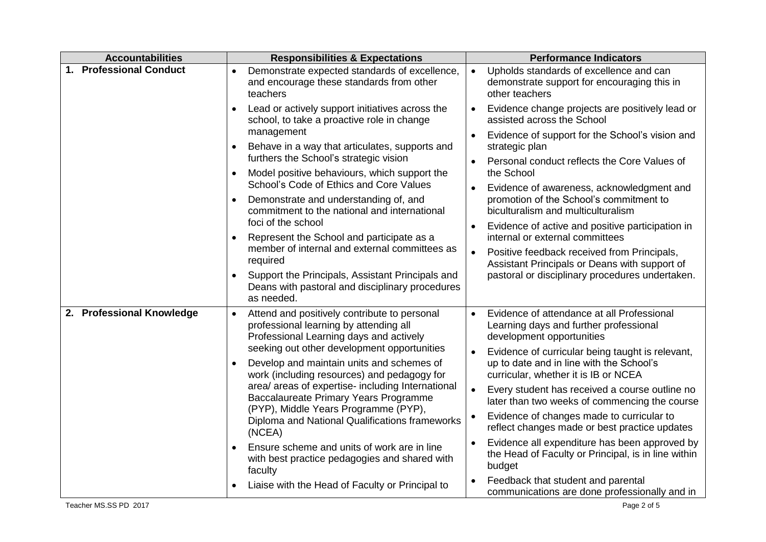| <b>Accountabilities</b>   | <b>Responsibilities &amp; Expectations</b>                                                                                                     | <b>Performance Indicators</b>                                                                                                        |
|---------------------------|------------------------------------------------------------------------------------------------------------------------------------------------|--------------------------------------------------------------------------------------------------------------------------------------|
| 1. Professional Conduct   | Demonstrate expected standards of excellence,<br>$\bullet$<br>and encourage these standards from other<br>teachers                             | Upholds standards of excellence and can<br>$\bullet$<br>demonstrate support for encouraging this in<br>other teachers                |
|                           | Lead or actively support initiatives across the<br>$\bullet$<br>school, to take a proactive role in change                                     | Evidence change projects are positively lead or<br>$\bullet$<br>assisted across the School                                           |
|                           | management<br>Behave in a way that articulates, supports and                                                                                   | Evidence of support for the School's vision and<br>strategic plan                                                                    |
|                           | furthers the School's strategic vision<br>Model positive behaviours, which support the<br>$\bullet$<br>School's Code of Ethics and Core Values | Personal conduct reflects the Core Values of<br>$\bullet$<br>the School                                                              |
|                           | Demonstrate and understanding of, and<br>$\bullet$<br>commitment to the national and international                                             | Evidence of awareness, acknowledgment and<br>promotion of the School's commitment to<br>biculturalism and multiculturalism           |
|                           | foci of the school<br>Represent the School and participate as a                                                                                | Evidence of active and positive participation in<br>internal or external committees                                                  |
|                           | member of internal and external committees as<br>required                                                                                      | Positive feedback received from Principals,<br>$\bullet$<br>Assistant Principals or Deans with support of                            |
|                           | Support the Principals, Assistant Principals and<br>$\bullet$<br>Deans with pastoral and disciplinary procedures<br>as needed.                 | pastoral or disciplinary procedures undertaken.                                                                                      |
| 2. Professional Knowledge | Attend and positively contribute to personal<br>$\bullet$<br>professional learning by attending all<br>Professional Learning days and actively | Evidence of attendance at all Professional<br>Learning days and further professional<br>development opportunities                    |
|                           | seeking out other development opportunities<br>Develop and maintain units and schemes of<br>work (including resources) and pedagogy for        | Evidence of curricular being taught is relevant,<br>up to date and in line with the School's<br>curricular, whether it is IB or NCEA |
|                           | area/ areas of expertise- including International<br>Baccalaureate Primary Years Programme<br>(PYP), Middle Years Programme (PYP),             | Every student has received a course outline no<br>$\bullet$<br>later than two weeks of commencing the course                         |
|                           | Diploma and National Qualifications frameworks<br>(NCEA)                                                                                       | Evidence of changes made to curricular to<br>reflect changes made or best practice updates                                           |
|                           | Ensure scheme and units of work are in line<br>with best practice pedagogies and shared with<br>faculty                                        | Evidence all expenditure has been approved by<br>the Head of Faculty or Principal, is in line within<br>budget                       |
|                           | Liaise with the Head of Faculty or Principal to                                                                                                | Feedback that student and parental<br>communications are done professionally and in                                                  |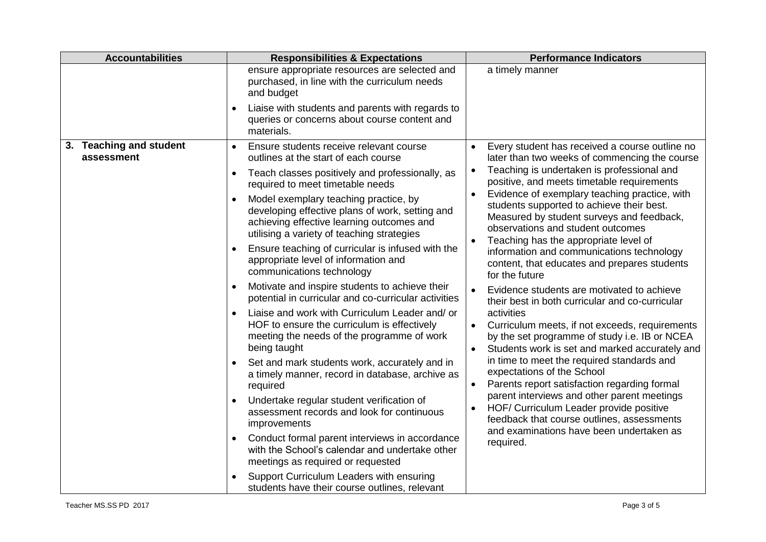| <b>Accountabilities</b>               | <b>Responsibilities &amp; Expectations</b>                                                                                                                                          | <b>Performance Indicators</b>                                                                                                                                                                                                                                                                                                                                                                                                    |
|---------------------------------------|-------------------------------------------------------------------------------------------------------------------------------------------------------------------------------------|----------------------------------------------------------------------------------------------------------------------------------------------------------------------------------------------------------------------------------------------------------------------------------------------------------------------------------------------------------------------------------------------------------------------------------|
|                                       | ensure appropriate resources are selected and<br>purchased, in line with the curriculum needs<br>and budget                                                                         | a timely manner                                                                                                                                                                                                                                                                                                                                                                                                                  |
|                                       | Liaise with students and parents with regards to<br>queries or concerns about course content and<br>materials.                                                                      |                                                                                                                                                                                                                                                                                                                                                                                                                                  |
| 3. Teaching and student<br>assessment | Ensure students receive relevant course<br>$\bullet$<br>outlines at the start of each course                                                                                        | Every student has received a course outline no<br>later than two weeks of commencing the course                                                                                                                                                                                                                                                                                                                                  |
|                                       | Teach classes positively and professionally, as<br>required to meet timetable needs                                                                                                 | Teaching is undertaken is professional and<br>positive, and meets timetable requirements<br>Evidence of exemplary teaching practice, with<br>students supported to achieve their best.<br>Measured by student surveys and feedback,<br>observations and student outcomes<br>Teaching has the appropriate level of<br>information and communications technology<br>content, that educates and prepares students<br>for the future |
|                                       | Model exemplary teaching practice, by<br>developing effective plans of work, setting and<br>achieving effective learning outcomes and<br>utilising a variety of teaching strategies |                                                                                                                                                                                                                                                                                                                                                                                                                                  |
|                                       | Ensure teaching of curricular is infused with the<br>$\bullet$<br>appropriate level of information and<br>communications technology                                                 |                                                                                                                                                                                                                                                                                                                                                                                                                                  |
|                                       | Motivate and inspire students to achieve their<br>potential in curricular and co-curricular activities                                                                              | Evidence students are motivated to achieve<br>$\bullet$<br>their best in both curricular and co-curricular                                                                                                                                                                                                                                                                                                                       |
|                                       | Liaise and work with Curriculum Leader and/ or<br>$\bullet$<br>HOF to ensure the curriculum is effectively<br>meeting the needs of the programme of work<br>being taught            | activities<br>Curriculum meets, if not exceeds, requirements<br>$\bullet$<br>by the set programme of study i.e. IB or NCEA<br>Students work is set and marked accurately and<br>$\bullet$                                                                                                                                                                                                                                        |
|                                       | Set and mark students work, accurately and in<br>a timely manner, record in database, archive as<br>required                                                                        | in time to meet the required standards and<br>expectations of the School<br>Parents report satisfaction regarding formal<br>$\bullet$                                                                                                                                                                                                                                                                                            |
|                                       | Undertake regular student verification of<br>assessment records and look for continuous<br>improvements                                                                             | parent interviews and other parent meetings<br>HOF/ Curriculum Leader provide positive<br>$\bullet$<br>feedback that course outlines, assessments<br>and examinations have been undertaken as                                                                                                                                                                                                                                    |
|                                       | Conduct formal parent interviews in accordance<br>with the School's calendar and undertake other<br>meetings as required or requested                                               | required.                                                                                                                                                                                                                                                                                                                                                                                                                        |
|                                       | Support Curriculum Leaders with ensuring<br>students have their course outlines, relevant                                                                                           |                                                                                                                                                                                                                                                                                                                                                                                                                                  |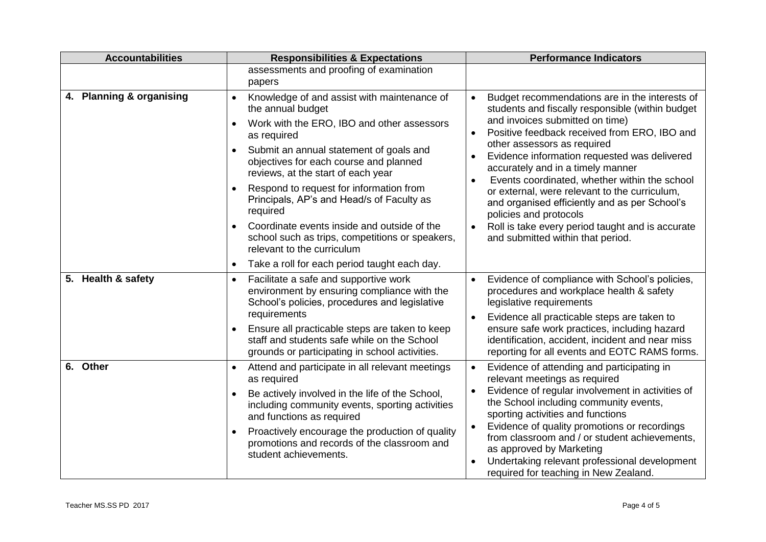| <b>Accountabilities</b>  | <b>Responsibilities &amp; Expectations</b>                                                                                                                                                                                                                                                                                                                                                                                                                                                                | <b>Performance Indicators</b>                                                                                                                                                                                                                                                                                                                                                                                                                                                                                                                                                                             |  |
|--------------------------|-----------------------------------------------------------------------------------------------------------------------------------------------------------------------------------------------------------------------------------------------------------------------------------------------------------------------------------------------------------------------------------------------------------------------------------------------------------------------------------------------------------|-----------------------------------------------------------------------------------------------------------------------------------------------------------------------------------------------------------------------------------------------------------------------------------------------------------------------------------------------------------------------------------------------------------------------------------------------------------------------------------------------------------------------------------------------------------------------------------------------------------|--|
|                          | assessments and proofing of examination<br>papers                                                                                                                                                                                                                                                                                                                                                                                                                                                         |                                                                                                                                                                                                                                                                                                                                                                                                                                                                                                                                                                                                           |  |
| 4. Planning & organising | Knowledge of and assist with maintenance of<br>$\bullet$<br>the annual budget<br>Work with the ERO, IBO and other assessors<br>as required<br>Submit an annual statement of goals and<br>objectives for each course and planned<br>reviews, at the start of each year<br>Respond to request for information from<br>Principals, AP's and Head/s of Faculty as<br>required<br>Coordinate events inside and outside of the<br>school such as trips, competitions or speakers,<br>relevant to the curriculum | Budget recommendations are in the interests of<br>$\bullet$<br>students and fiscally responsible (within budget<br>and invoices submitted on time)<br>Positive feedback received from ERO, IBO and<br>$\bullet$<br>other assessors as required<br>Evidence information requested was delivered<br>accurately and in a timely manner<br>Events coordinated, whether within the school<br>or external, were relevant to the curriculum,<br>and organised efficiently and as per School's<br>policies and protocols<br>Roll is take every period taught and is accurate<br>and submitted within that period. |  |
|                          | Take a roll for each period taught each day.<br>$\bullet$                                                                                                                                                                                                                                                                                                                                                                                                                                                 |                                                                                                                                                                                                                                                                                                                                                                                                                                                                                                                                                                                                           |  |
| 5. Health & safety       | Facilitate a safe and supportive work<br>$\bullet$<br>environment by ensuring compliance with the<br>School's policies, procedures and legislative<br>requirements<br>Ensure all practicable steps are taken to keep                                                                                                                                                                                                                                                                                      | Evidence of compliance with School's policies,<br>procedures and workplace health & safety<br>legislative requirements<br>Evidence all practicable steps are taken to<br>$\bullet$<br>ensure safe work practices, including hazard                                                                                                                                                                                                                                                                                                                                                                        |  |
|                          | staff and students safe while on the School<br>grounds or participating in school activities.                                                                                                                                                                                                                                                                                                                                                                                                             | identification, accident, incident and near miss<br>reporting for all events and EOTC RAMS forms.                                                                                                                                                                                                                                                                                                                                                                                                                                                                                                         |  |
| 6. Other                 | Attend and participate in all relevant meetings<br>$\bullet$<br>as required<br>Be actively involved in the life of the School,<br>including community events, sporting activities<br>and functions as required<br>Proactively encourage the production of quality<br>promotions and records of the classroom and<br>student achievements.                                                                                                                                                                 | Evidence of attending and participating in<br>$\bullet$<br>relevant meetings as required<br>Evidence of regular involvement in activities of<br>the School including community events,<br>sporting activities and functions<br>Evidence of quality promotions or recordings<br>$\bullet$<br>from classroom and / or student achievements,<br>as approved by Marketing<br>Undertaking relevant professional development<br>required for teaching in New Zealand.                                                                                                                                           |  |